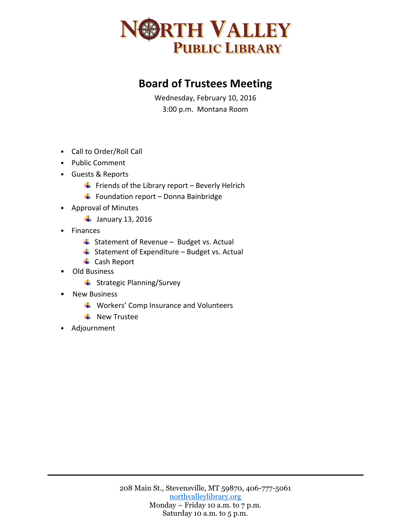

## **Board of Trustees Meeting**

Wednesday, February 10, 2016 3:00 p.m. Montana Room

- Call to Order/Roll Call
- Public Comment
- Guests & Reports
	- $\downarrow$  Friends of the Library report Beverly Helrich
	- $\downarrow$  Foundation report Donna Bainbridge
- Approval of Minutes
	- $\frac{1}{2}$  January 13, 2016
- Finances
	- $\overline{\phantom{a}}$  Statement of Revenue Budget vs. Actual
	- $\overline{\phantom{a}}$  Statement of Expenditure Budget vs. Actual
	- **↓** Cash Report
- Old Business
	- $\ddot{\bullet}$  Strategic Planning/Survey
- New Business
	- $\downarrow$  Workers' Comp Insurance and Volunteers
	- $\frac{1}{2}$  New Trustee
- Adjournment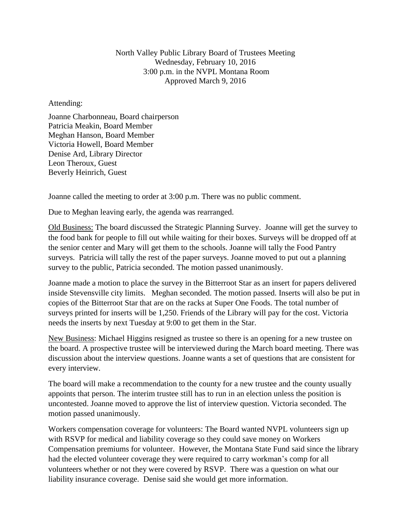North Valley Public Library Board of Trustees Meeting Wednesday, February 10, 2016 3:00 p.m. in the NVPL Montana Room Approved March 9, 2016

## Attending:

Joanne Charbonneau, Board chairperson Patricia Meakin, Board Member Meghan Hanson, Board Member Victoria Howell, Board Member Denise Ard, Library Director Leon Theroux, Guest Beverly Heinrich, Guest

Joanne called the meeting to order at 3:00 p.m. There was no public comment.

Due to Meghan leaving early, the agenda was rearranged.

Old Business: The board discussed the Strategic Planning Survey. Joanne will get the survey to the food bank for people to fill out while waiting for their boxes. Surveys will be dropped off at the senior center and Mary will get them to the schools. Joanne will tally the Food Pantry surveys. Patricia will tally the rest of the paper surveys. Joanne moved to put out a planning survey to the public, Patricia seconded. The motion passed unanimously.

Joanne made a motion to place the survey in the Bitterroot Star as an insert for papers delivered inside Stevensville city limits. Meghan seconded. The motion passed. Inserts will also be put in copies of the Bitterroot Star that are on the racks at Super One Foods. The total number of surveys printed for inserts will be 1,250. Friends of the Library will pay for the cost. Victoria needs the inserts by next Tuesday at 9:00 to get them in the Star.

New Business: Michael Higgins resigned as trustee so there is an opening for a new trustee on the board. A prospective trustee will be interviewed during the March board meeting. There was discussion about the interview questions. Joanne wants a set of questions that are consistent for every interview.

The board will make a recommendation to the county for a new trustee and the county usually appoints that person. The interim trustee still has to run in an election unless the position is uncontested. Joanne moved to approve the list of interview question. Victoria seconded. The motion passed unanimously.

Workers compensation coverage for volunteers: The Board wanted NVPL volunteers sign up with RSVP for medical and liability coverage so they could save money on Workers Compensation premiums for volunteer. However, the Montana State Fund said since the library had the elected volunteer coverage they were required to carry workman's comp for all volunteers whether or not they were covered by RSVP. There was a question on what our liability insurance coverage. Denise said she would get more information.